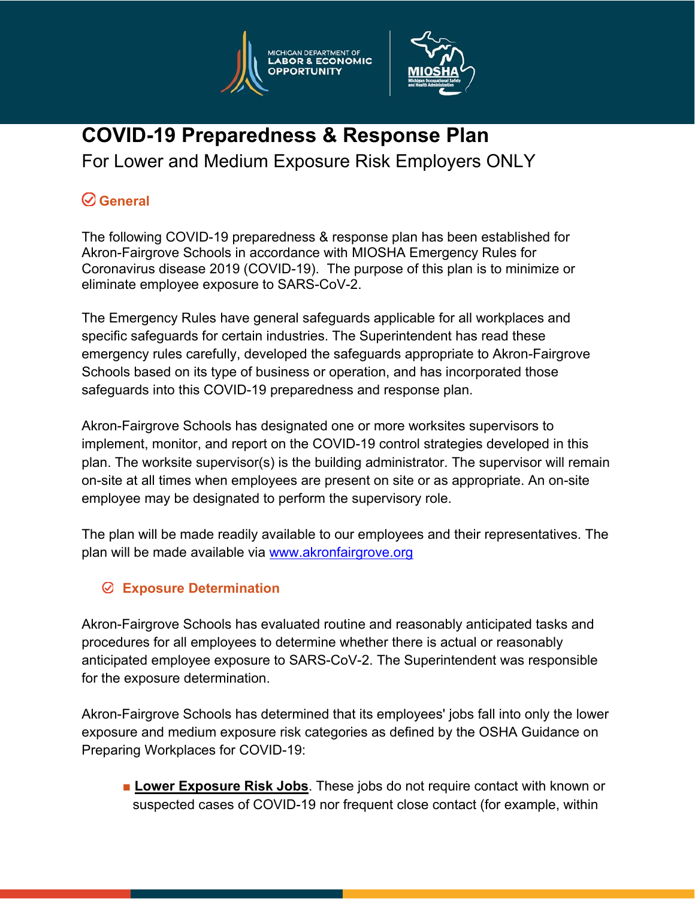



**COVID-19 Preparedness & Response Plan**  For Lower and Medium Exposure Risk Employers ONLY

# **General**

The following COVID-19 preparedness & response plan has been established for Akron-Fairgrove Schools in accordance with MIOSHA Emergency Rules for Coronavirus disease 2019 (COVID-19). The purpose of this plan is to minimize or eliminate employee exposure to SARS-CoV-2.

The Emergency Rules have general safeguards applicable for all workplaces and specific safeguards for certain industries. The Superintendent has read these emergency rules carefully, developed the safeguards appropriate to Akron-Fairgrove Schools based on its type of business or operation, and has incorporated those safeguards into this COVID-19 preparedness and response plan.

Akron-Fairgrove Schools has designated one or more worksites supervisors to implement, monitor, and report on the COVID-19 control strategies developed in this plan. The worksite supervisor(s) is the building administrator. The supervisor will remain on-site at all times when employees are present on site or as appropriate. An on-site employee may be designated to perform the supervisory role.

The plan will be made readily available to our employees and their representatives. The plan will be made available via www.akronfairgrove.org

### **Exposure Determination**

Akron-Fairgrove Schools has evaluated routine and reasonably anticipated tasks and procedures for all employees to determine whether there is actual or reasonably anticipated employee exposure to SARS-CoV-2. The Superintendent was responsible for the exposure determination.

Akron-Fairgrove Schools has determined that its employees' jobs fall into only the lower exposure and medium exposure risk categories as defined by the OSHA Guidance on Preparing Workplaces for COVID-19:

■ Lower Exposure Risk Jobs. These jobs do not require contact with known or suspected cases of COVID-19 nor frequent close contact (for example, within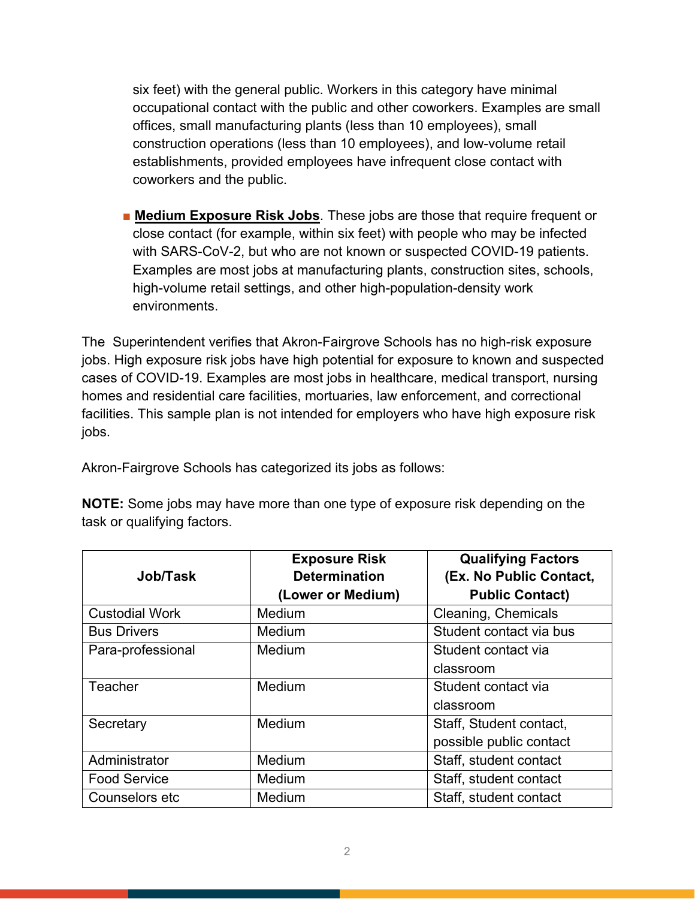six feet) with the general public. Workers in this category have minimal occupational contact with the public and other coworkers. Examples are small offices, small manufacturing plants (less than 10 employees), small construction operations (less than 10 employees), and low-volume retail establishments, provided employees have infrequent close contact with coworkers and the public.

■ **Medium Exposure Risk Jobs**. These jobs are those that require frequent or close contact (for example, within six feet) with people who may be infected with SARS-CoV-2, but who are not known or suspected COVID-19 patients. Examples are most jobs at manufacturing plants, construction sites, schools, high-volume retail settings, and other high-population-density work environments.

The Superintendent verifies that Akron-Fairgrove Schools has no high-risk exposure jobs. High exposure risk jobs have high potential for exposure to known and suspected cases of COVID-19. Examples are most jobs in healthcare, medical transport, nursing homes and residential care facilities, mortuaries, law enforcement, and correctional facilities. This sample plan is not intended for employers who have high exposure risk jobs.

Akron-Fairgrove Schools has categorized its jobs as follows:

| <b>NOTE:</b> Some jobs may have more than one type of exposure risk depending on the |  |
|--------------------------------------------------------------------------------------|--|
| task or qualifying factors.                                                          |  |

|                       | <b>Exposure Risk</b> | <b>Qualifying Factors</b> |
|-----------------------|----------------------|---------------------------|
| Job/Task              | <b>Determination</b> | (Ex. No Public Contact,   |
|                       | (Lower or Medium)    | <b>Public Contact)</b>    |
| <b>Custodial Work</b> | Medium               | Cleaning, Chemicals       |
| <b>Bus Drivers</b>    | Medium               | Student contact via bus   |
| Para-professional     | Medium               | Student contact via       |
|                       |                      | classroom                 |
| Teacher               | Medium               | Student contact via       |
|                       |                      | classroom                 |
| Secretary             | Medium               | Staff, Student contact,   |
|                       |                      | possible public contact   |
| Administrator         | Medium               | Staff, student contact    |
| <b>Food Service</b>   | Medium               | Staff, student contact    |
| Counselors etc        | Medium               | Staff, student contact    |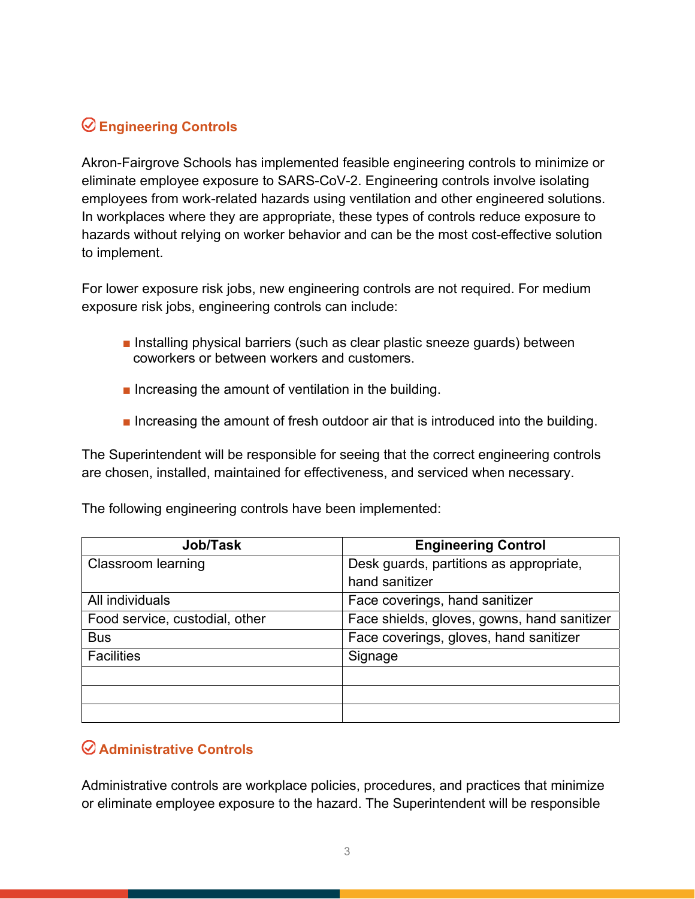## **Engineering Controls**

Akron-Fairgrove Schools has implemented feasible engineering controls to minimize or eliminate employee exposure to SARS-CoV-2. Engineering controls involve isolating employees from work-related hazards using ventilation and other engineered solutions. In workplaces where they are appropriate, these types of controls reduce exposure to hazards without relying on worker behavior and can be the most cost-effective solution to implement.

For lower exposure risk jobs, new engineering controls are not required. For medium exposure risk jobs, engineering controls can include:

- Installing physical barriers (such as clear plastic sneeze guards) between coworkers or between workers and customers.
- Increasing the amount of ventilation in the building.
- Increasing the amount of fresh outdoor air that is introduced into the building.

The Superintendent will be responsible for seeing that the correct engineering controls are chosen, installed, maintained for effectiveness, and serviced when necessary.

| Job/Task                       | <b>Engineering Control</b>                  |
|--------------------------------|---------------------------------------------|
| Classroom learning             | Desk guards, partitions as appropriate,     |
|                                | hand sanitizer                              |
| All individuals                | Face coverings, hand sanitizer              |
| Food service, custodial, other | Face shields, gloves, gowns, hand sanitizer |
| <b>Bus</b>                     | Face coverings, gloves, hand sanitizer      |
| <b>Facilities</b>              | Signage                                     |
|                                |                                             |
|                                |                                             |
|                                |                                             |

The following engineering controls have been implemented:

#### **Administrative Controls**

Administrative controls are workplace policies, procedures, and practices that minimize or eliminate employee exposure to the hazard. The Superintendent will be responsible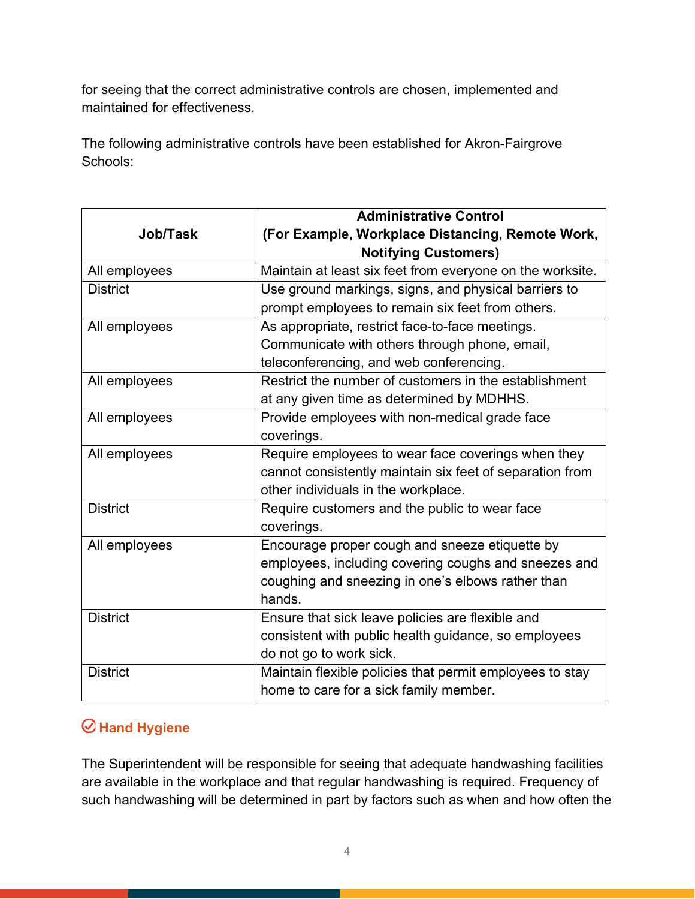for seeing that the correct administrative controls are chosen, implemented and maintained for effectiveness.

The following administrative controls have been established for Akron-Fairgrove Schools:

|                 | <b>Administrative Control</b>                                                   |
|-----------------|---------------------------------------------------------------------------------|
| Job/Task        | (For Example, Workplace Distancing, Remote Work,<br><b>Notifying Customers)</b> |
| All employees   | Maintain at least six feet from everyone on the worksite.                       |
| <b>District</b> | Use ground markings, signs, and physical barriers to                            |
|                 | prompt employees to remain six feet from others.                                |
| All employees   | As appropriate, restrict face-to-face meetings.                                 |
|                 | Communicate with others through phone, email,                                   |
|                 | teleconferencing, and web conferencing.                                         |
| All employees   | Restrict the number of customers in the establishment                           |
|                 | at any given time as determined by MDHHS.                                       |
| All employees   | Provide employees with non-medical grade face                                   |
|                 | coverings.                                                                      |
| All employees   | Require employees to wear face coverings when they                              |
|                 | cannot consistently maintain six feet of separation from                        |
|                 | other individuals in the workplace.                                             |
| <b>District</b> | Require customers and the public to wear face                                   |
|                 | coverings.                                                                      |
| All employees   | Encourage proper cough and sneeze etiquette by                                  |
|                 | employees, including covering coughs and sneezes and                            |
|                 | coughing and sneezing in one's elbows rather than                               |
|                 | hands.                                                                          |
| <b>District</b> | Ensure that sick leave policies are flexible and                                |
|                 | consistent with public health guidance, so employees                            |
|                 | do not go to work sick.                                                         |
| <b>District</b> | Maintain flexible policies that permit employees to stay                        |
|                 | home to care for a sick family member.                                          |

## **Hand Hygiene**

The Superintendent will be responsible for seeing that adequate handwashing facilities are available in the workplace and that regular handwashing is required. Frequency of such handwashing will be determined in part by factors such as when and how often the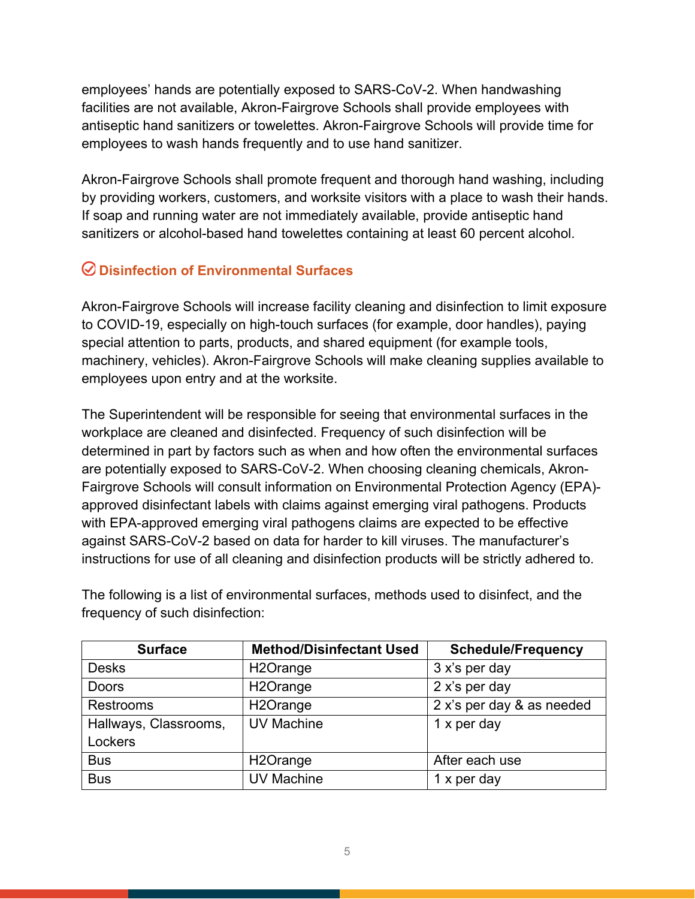employees' hands are potentially exposed to SARS-CoV-2. When handwashing facilities are not available, Akron-Fairgrove Schools shall provide employees with antiseptic hand sanitizers or towelettes. Akron-Fairgrove Schools will provide time for employees to wash hands frequently and to use hand sanitizer.

Akron-Fairgrove Schools shall promote frequent and thorough hand washing, including by providing workers, customers, and worksite visitors with a place to wash their hands. If soap and running water are not immediately available, provide antiseptic hand sanitizers or alcohol-based hand towelettes containing at least 60 percent alcohol.

### **Disinfection of Environmental Surfaces**

Akron-Fairgrove Schools will increase facility cleaning and disinfection to limit exposure to COVID-19, especially on high-touch surfaces (for example, door handles), paying special attention to parts, products, and shared equipment (for example tools, machinery, vehicles). Akron-Fairgrove Schools will make cleaning supplies available to employees upon entry and at the worksite.

The Superintendent will be responsible for seeing that environmental surfaces in the workplace are cleaned and disinfected. Frequency of such disinfection will be determined in part by factors such as when and how often the environmental surfaces are potentially exposed to SARS-CoV-2. When choosing cleaning chemicals, Akron-Fairgrove Schools will consult information on Environmental Protection Agency (EPA) approved disinfectant labels with claims against emerging viral pathogens. Products with EPA-approved emerging viral pathogens claims are expected to be effective against SARS-CoV-2 based on data for harder to kill viruses. The manufacturer's instructions for use of all cleaning and disinfection products will be strictly adhered to.

The following is a list of environmental surfaces, methods used to disinfect, and the frequency of such disinfection:

| <b>Surface</b>        | <b>Method/Disinfectant Used</b> | <b>Schedule/Frequency</b> |
|-----------------------|---------------------------------|---------------------------|
| <b>Desks</b>          | H <sub>2</sub> Orange           | 3 x's per day             |
| <b>Doors</b>          | H <sub>2</sub> Orange           | 2 x's per day             |
| <b>Restrooms</b>      | H <sub>2</sub> Orange           | 2 x's per day & as needed |
| Hallways, Classrooms, | <b>UV Machine</b>               | 1 x per day               |
| Lockers               |                                 |                           |
| <b>Bus</b>            | H <sub>2</sub> Orange           | After each use            |
| <b>Bus</b>            | <b>UV Machine</b>               | 1 x per day               |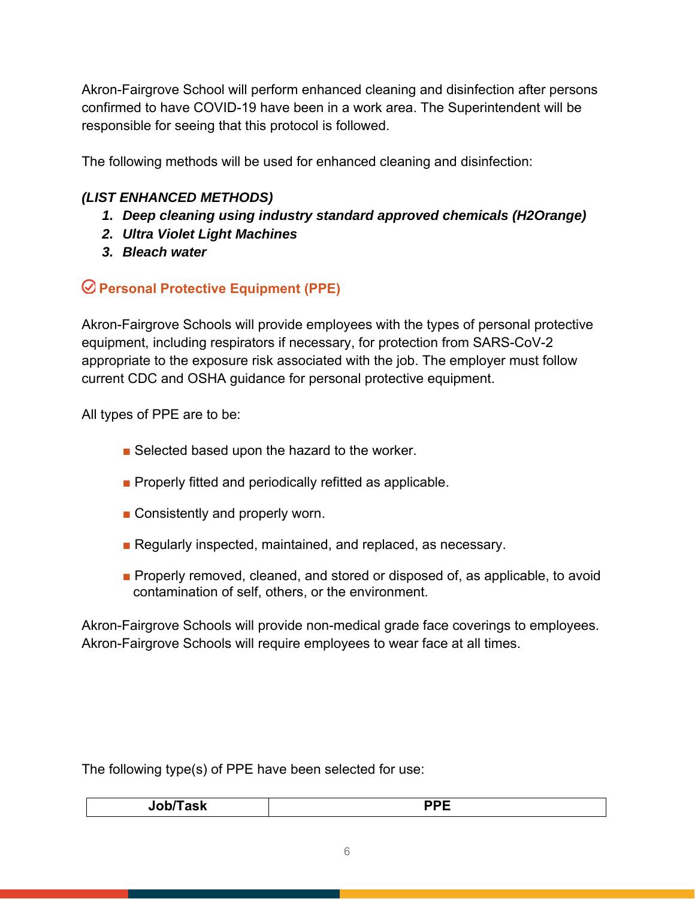Akron-Fairgrove School will perform enhanced cleaning and disinfection after persons confirmed to have COVID-19 have been in a work area. The Superintendent will be responsible for seeing that this protocol is followed.

The following methods will be used for enhanced cleaning and disinfection:

#### *(LIST ENHANCED METHODS)*

- *1. Deep cleaning using industry standard approved chemicals (H2Orange)*
- *2. Ultra Violet Light Machines*
- *3. Bleach water*

 **Personal Protective Equipment (PPE)** 

Akron-Fairgrove Schools will provide employees with the types of personal protective equipment, including respirators if necessary, for protection from SARS-CoV-2 appropriate to the exposure risk associated with the job. The employer must follow current CDC and OSHA guidance for personal protective equipment.

All types of PPE are to be:

- Selected based upon the hazard to the worker.
- Properly fitted and periodically refitted as applicable.
- Consistently and properly worn.
- Regularly inspected, maintained, and replaced, as necessary.
- Properly removed, cleaned, and stored or disposed of, as applicable, to avoid contamination of self, others, or the environment.

Akron-Fairgrove Schools will provide non-medical grade face coverings to employees. Akron-Fairgrove Schools will require employees to wear face at all times.

The following type(s) of PPE have been selected for use:

| $     -$ |  |
|----------|--|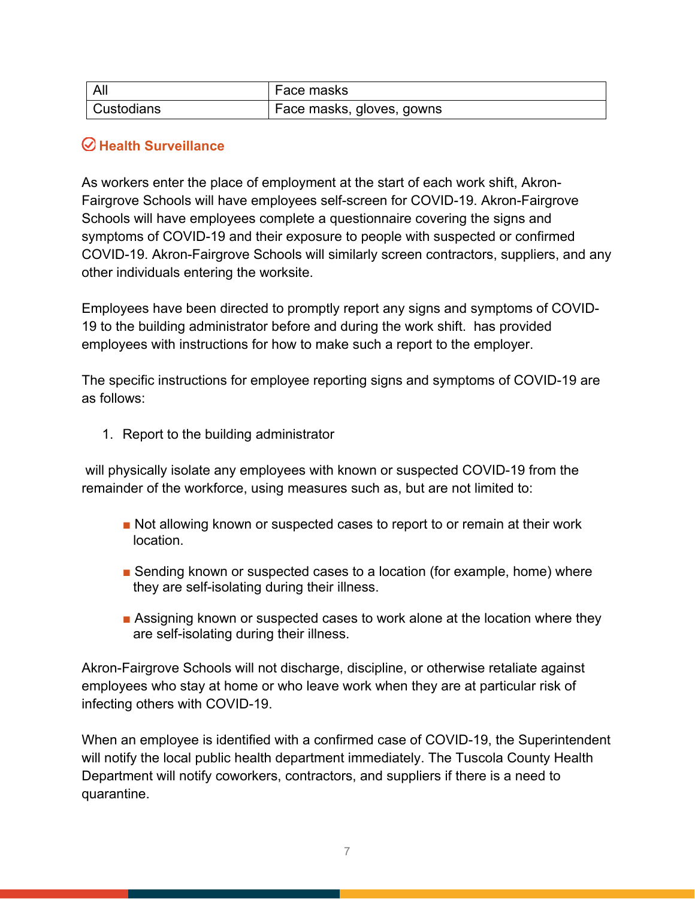| All        | Face masks                |
|------------|---------------------------|
| Custodians | Face masks, gloves, gowns |

#### **Health Surveillance**

As workers enter the place of employment at the start of each work shift, Akron-Fairgrove Schools will have employees self-screen for COVID-19. Akron-Fairgrove Schools will have employees complete a questionnaire covering the signs and symptoms of COVID-19 and their exposure to people with suspected or confirmed COVID-19. Akron-Fairgrove Schools will similarly screen contractors, suppliers, and any other individuals entering the worksite.

Employees have been directed to promptly report any signs and symptoms of COVID-19 to the building administrator before and during the work shift. has provided employees with instructions for how to make such a report to the employer.

The specific instructions for employee reporting signs and symptoms of COVID-19 are as follows:

1. Report to the building administrator

 will physically isolate any employees with known or suspected COVID-19 from the remainder of the workforce, using measures such as, but are not limited to:

- Not allowing known or suspected cases to report to or remain at their work location.
- Sending known or suspected cases to a location (for example, home) where they are self-isolating during their illness.
- Assigning known or suspected cases to work alone at the location where they are self-isolating during their illness.

Akron-Fairgrove Schools will not discharge, discipline, or otherwise retaliate against employees who stay at home or who leave work when they are at particular risk of infecting others with COVID-19.

When an employee is identified with a confirmed case of COVID-19, the Superintendent will notify the local public health department immediately. The Tuscola County Health Department will notify coworkers, contractors, and suppliers if there is a need to quarantine.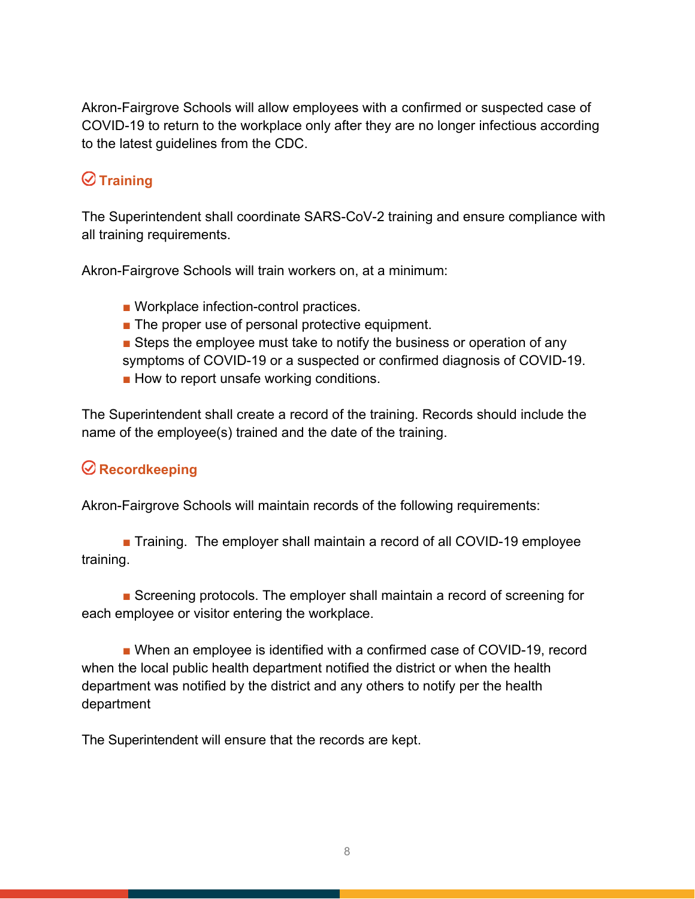Akron-Fairgrove Schools will allow employees with a confirmed or suspected case of COVID-19 to return to the workplace only after they are no longer infectious according to the latest guidelines from the CDC.

# **Training**

The Superintendent shall coordinate SARS-CoV-2 training and ensure compliance with all training requirements.

Akron-Fairgrove Schools will train workers on, at a minimum:

- Workplace infection-control practices.
- The proper use of personal protective equipment.
- Steps the employee must take to notify the business or operation of any symptoms of COVID-19 or a suspected or confirmed diagnosis of COVID-19.
- How to report unsafe working conditions.

The Superintendent shall create a record of the training. Records should include the name of the employee(s) trained and the date of the training.

### **Recordkeeping**

Akron-Fairgrove Schools will maintain records of the following requirements:

■ Training. The employer shall maintain a record of all COVID-19 employee training.

■ Screening protocols. The employer shall maintain a record of screening for each employee or visitor entering the workplace.

■ When an employee is identified with a confirmed case of COVID-19, record when the local public health department notified the district or when the health department was notified by the district and any others to notify per the health department

The Superintendent will ensure that the records are kept.